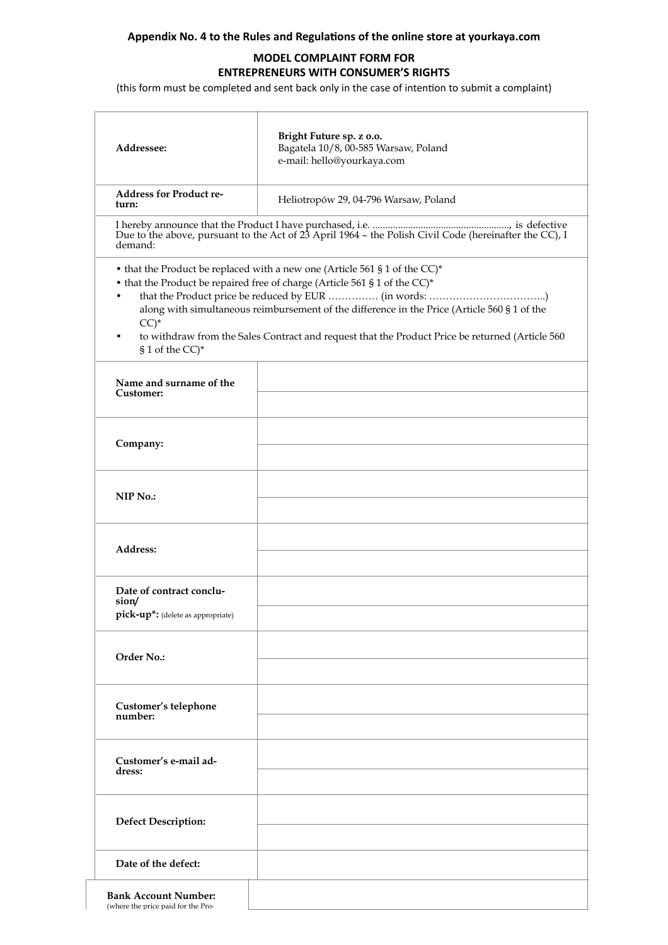## **Appendix No. 4 to the Rules and Regulations of the online store at yourkaya.com**

## **MODEL COMPLAINT FORM FOR ENTREPRENEURS WITH CONSUMER'S RIGHTS**

(this form must be completed and sent back only in the case of intention to submit a complaint)

| Addressee:                                                             | Bright Future sp. z o.o.<br>Bagatela 10/8, 00-585 Warsaw, Poland<br>e-mail: hello@yourkaya.com                                                                                                                                                                                                                                                              |
|------------------------------------------------------------------------|-------------------------------------------------------------------------------------------------------------------------------------------------------------------------------------------------------------------------------------------------------------------------------------------------------------------------------------------------------------|
| <b>Address for Product re-</b><br>turn:                                | Heliotropów 29, 04-796 Warsaw, Poland                                                                                                                                                                                                                                                                                                                       |
| demand:                                                                |                                                                                                                                                                                                                                                                                                                                                             |
| $CC)$ *<br>§ 1 of the CC)*                                             | • that the Product be replaced with a new one (Article 561 § 1 of the CC)*<br>• that the Product be repaired free of charge (Article 561 § 1 of the CC)*<br>along with simultaneous reimbursement of the difference in the Price (Article 560 § 1 of the<br>to withdraw from the Sales Contract and request that the Product Price be returned (Article 560 |
| Name and surname of the<br>Customer:                                   |                                                                                                                                                                                                                                                                                                                                                             |
| Company:                                                               |                                                                                                                                                                                                                                                                                                                                                             |
| NIP No.:                                                               |                                                                                                                                                                                                                                                                                                                                                             |
| Address:                                                               |                                                                                                                                                                                                                                                                                                                                                             |
| Date of contract conclu-<br>sion/<br>pick-up*: (delete as appropriate) |                                                                                                                                                                                                                                                                                                                                                             |
| Order No.:                                                             |                                                                                                                                                                                                                                                                                                                                                             |
| Customer's telephone<br>number:                                        |                                                                                                                                                                                                                                                                                                                                                             |
| Customer's e-mail ad-<br>dress:                                        |                                                                                                                                                                                                                                                                                                                                                             |
| <b>Defect Description:</b>                                             |                                                                                                                                                                                                                                                                                                                                                             |
| Date of the defect:                                                    |                                                                                                                                                                                                                                                                                                                                                             |
| <b>Bank Account Number:</b><br>(where the price paid for the Pro-      |                                                                                                                                                                                                                                                                                                                                                             |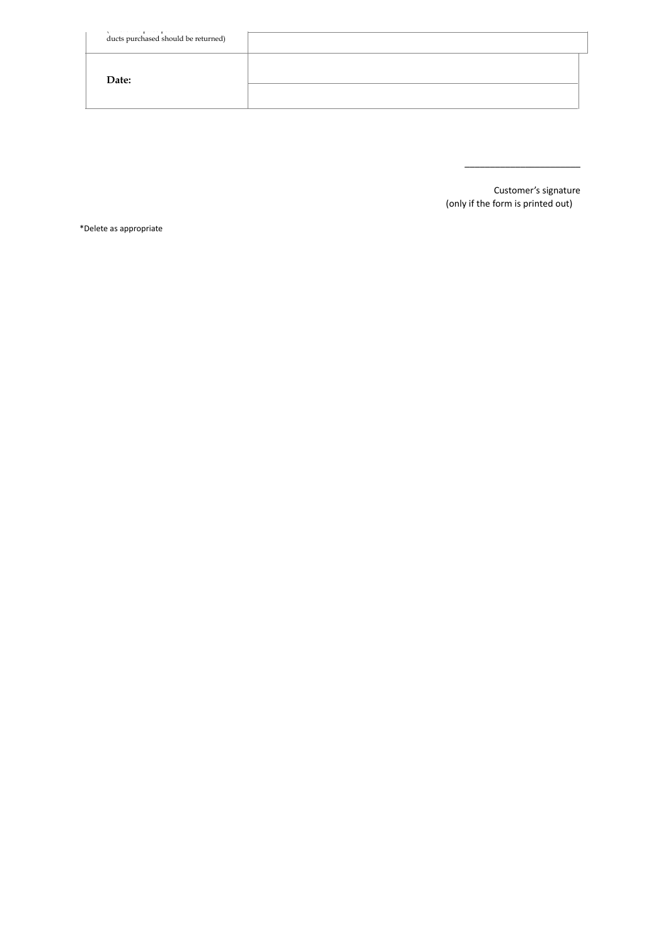| ducts purchased should be returned) |  |
|-------------------------------------|--|
| Date:                               |  |
|                                     |  |

Customer's signature (only if the form is printed out)

\_\_\_\_\_\_\_\_\_\_\_\_\_\_\_\_\_\_\_\_\_\_\_

\*Delete as appropriate